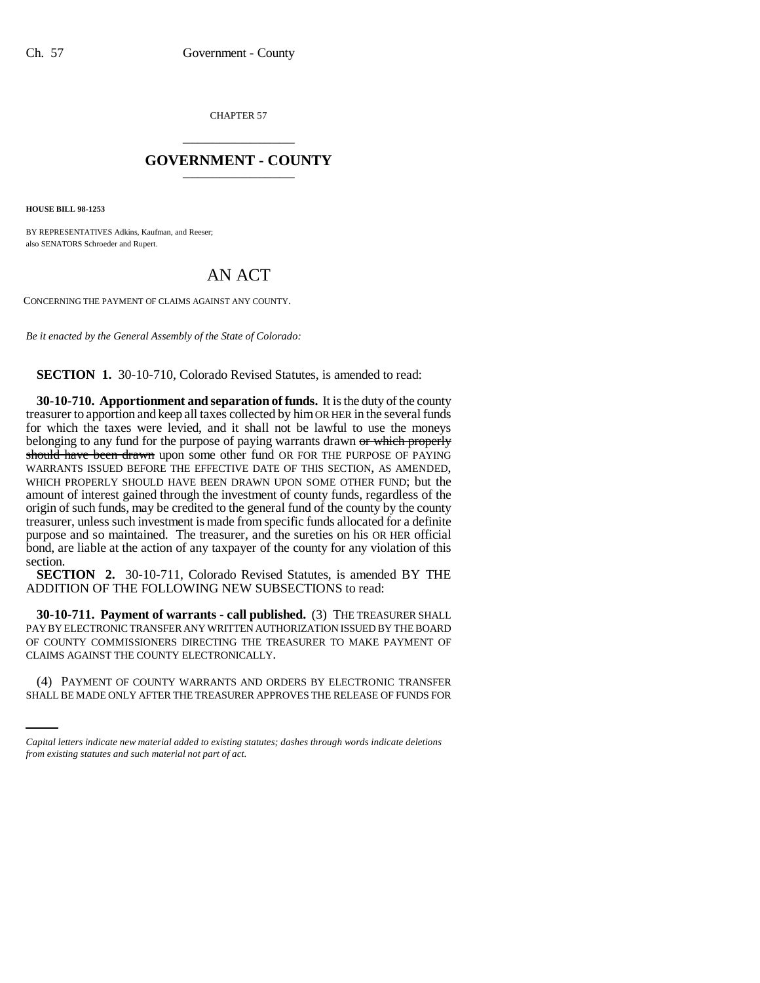CHAPTER 57 \_\_\_\_\_\_\_\_\_\_\_\_\_\_\_

## **GOVERNMENT - COUNTY** \_\_\_\_\_\_\_\_\_\_\_\_\_\_\_

**HOUSE BILL 98-1253**

BY REPRESENTATIVES Adkins, Kaufman, and Reeser; also SENATORS Schroeder and Rupert.

## AN ACT

CONCERNING THE PAYMENT OF CLAIMS AGAINST ANY COUNTY.

*Be it enacted by the General Assembly of the State of Colorado:*

**SECTION 1.** 30-10-710, Colorado Revised Statutes, is amended to read:

**30-10-710. Apportionment and separation of funds.** It is the duty of the county treasurer to apportion and keep all taxes collected by him OR HER in the several funds for which the taxes were levied, and it shall not be lawful to use the moneys belonging to any fund for the purpose of paying warrants drawn or which properly should have been drawn upon some other fund OR FOR THE PURPOSE OF PAYING WARRANTS ISSUED BEFORE THE EFFECTIVE DATE OF THIS SECTION, AS AMENDED, WHICH PROPERLY SHOULD HAVE BEEN DRAWN UPON SOME OTHER FUND; but the amount of interest gained through the investment of county funds, regardless of the origin of such funds, may be credited to the general fund of the county by the county treasurer, unless such investment is made from specific funds allocated for a definite purpose and so maintained. The treasurer, and the sureties on his OR HER official bond, are liable at the action of any taxpayer of the county for any violation of this section.

**SECTION 2.** 30-10-711, Colorado Revised Statutes, is amended BY THE ADDITION OF THE FOLLOWING NEW SUBSECTIONS to read:

CLAIMS AGAINST THE COUNTY ELECTRONICALLY. **30-10-711. Payment of warrants - call published.** (3) THE TREASURER SHALL PAY BY ELECTRONIC TRANSFER ANY WRITTEN AUTHORIZATION ISSUED BY THE BOARD OF COUNTY COMMISSIONERS DIRECTING THE TREASURER TO MAKE PAYMENT OF

(4) PAYMENT OF COUNTY WARRANTS AND ORDERS BY ELECTRONIC TRANSFER SHALL BE MADE ONLY AFTER THE TREASURER APPROVES THE RELEASE OF FUNDS FOR

*Capital letters indicate new material added to existing statutes; dashes through words indicate deletions from existing statutes and such material not part of act.*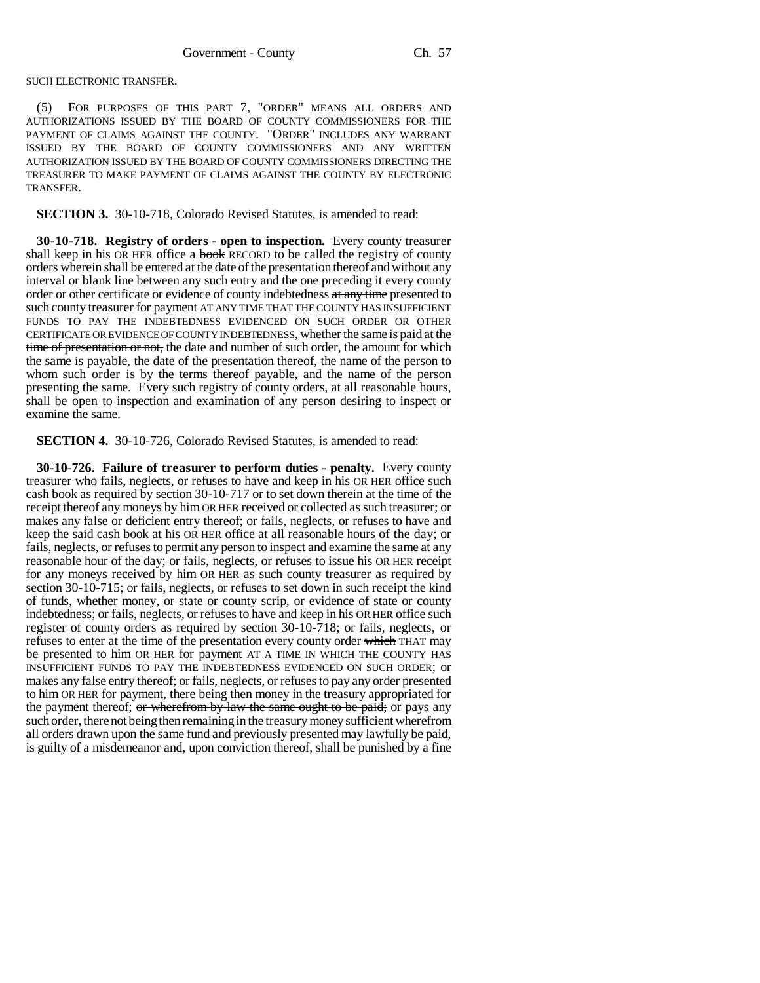SUCH ELECTRONIC TRANSFER.

(5) FOR PURPOSES OF THIS PART 7, "ORDER" MEANS ALL ORDERS AND AUTHORIZATIONS ISSUED BY THE BOARD OF COUNTY COMMISSIONERS FOR THE PAYMENT OF CLAIMS AGAINST THE COUNTY. "ORDER" INCLUDES ANY WARRANT ISSUED BY THE BOARD OF COUNTY COMMISSIONERS AND ANY WRITTEN AUTHORIZATION ISSUED BY THE BOARD OF COUNTY COMMISSIONERS DIRECTING THE TREASURER TO MAKE PAYMENT OF CLAIMS AGAINST THE COUNTY BY ELECTRONIC TRANSFER.

**SECTION 3.** 30-10-718, Colorado Revised Statutes, is amended to read:

**30-10-718. Registry of orders - open to inspection.** Every county treasurer shall keep in his OR HER office a **book** RECORD to be called the registry of county orders wherein shall be entered at the date of the presentation thereof and without any interval or blank line between any such entry and the one preceding it every county order or other certificate or evidence of county indebtedness at any time presented to such county treasurer for payment AT ANY TIME THAT THE COUNTY HAS INSUFFICIENT FUNDS TO PAY THE INDEBTEDNESS EVIDENCED ON SUCH ORDER OR OTHER CERTIFICATE OR EVIDENCE OF COUNTY INDEBTEDNESS, whether the same is paid at the time of presentation or not, the date and number of such order, the amount for which the same is payable, the date of the presentation thereof, the name of the person to whom such order is by the terms thereof payable, and the name of the person presenting the same. Every such registry of county orders, at all reasonable hours, shall be open to inspection and examination of any person desiring to inspect or examine the same.

**SECTION 4.** 30-10-726, Colorado Revised Statutes, is amended to read:

**30-10-726. Failure of treasurer to perform duties - penalty.** Every county treasurer who fails, neglects, or refuses to have and keep in his OR HER office such cash book as required by section 30-10-717 or to set down therein at the time of the receipt thereof any moneys by him OR HER received or collected as such treasurer; or makes any false or deficient entry thereof; or fails, neglects, or refuses to have and keep the said cash book at his OR HER office at all reasonable hours of the day; or fails, neglects, or refuses to permit any person to inspect and examine the same at any reasonable hour of the day; or fails, neglects, or refuses to issue his OR HER receipt for any moneys received by him OR HER as such county treasurer as required by section 30-10-715; or fails, neglects, or refuses to set down in such receipt the kind of funds, whether money, or state or county scrip, or evidence of state or county indebtedness; or fails, neglects, or refuses to have and keep in his OR HER office such register of county orders as required by section 30-10-718; or fails, neglects, or refuses to enter at the time of the presentation every county order which THAT may be presented to him OR HER for payment AT A TIME IN WHICH THE COUNTY HAS INSUFFICIENT FUNDS TO PAY THE INDEBTEDNESS EVIDENCED ON SUCH ORDER; or makes any false entry thereof; or fails, neglects, or refuses to pay any order presented to him OR HER for payment, there being then money in the treasury appropriated for the payment thereof; or wherefrom by law the same ought to be paid; or pays any such order, there not being then remaining in the treasury money sufficient wherefrom all orders drawn upon the same fund and previously presented may lawfully be paid, is guilty of a misdemeanor and, upon conviction thereof, shall be punished by a fine